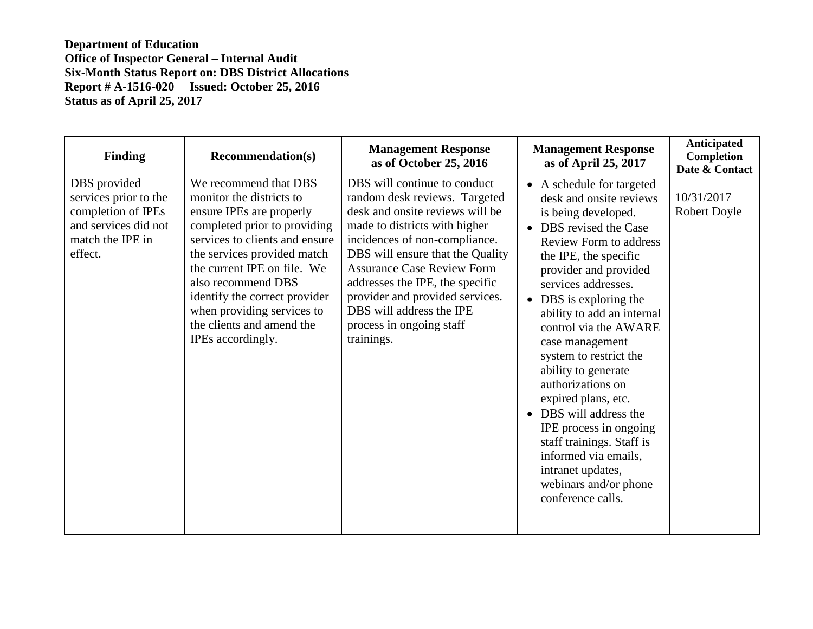| <b>Finding</b>                                                                                                     | <b>Recommendation(s)</b>                                                                                                                                                                                                                                                                                                                             | <b>Management Response</b><br>as of October 25, 2016                                                                                                                                                                                                                                                                                                                                    | <b>Management Response</b><br>as of April 25, 2017                                                                                                                                                                                                                                                                                                                                                                                                                                                                                                                                     | <b>Anticipated</b><br><b>Completion</b><br>Date & Contact |
|--------------------------------------------------------------------------------------------------------------------|------------------------------------------------------------------------------------------------------------------------------------------------------------------------------------------------------------------------------------------------------------------------------------------------------------------------------------------------------|-----------------------------------------------------------------------------------------------------------------------------------------------------------------------------------------------------------------------------------------------------------------------------------------------------------------------------------------------------------------------------------------|----------------------------------------------------------------------------------------------------------------------------------------------------------------------------------------------------------------------------------------------------------------------------------------------------------------------------------------------------------------------------------------------------------------------------------------------------------------------------------------------------------------------------------------------------------------------------------------|-----------------------------------------------------------|
| DBS provided<br>services prior to the<br>completion of IPEs<br>and services did not<br>match the IPE in<br>effect. | We recommend that DBS<br>monitor the districts to<br>ensure IPEs are properly<br>completed prior to providing<br>services to clients and ensure<br>the services provided match<br>the current IPE on file. We<br>also recommend DBS<br>identify the correct provider<br>when providing services to<br>the clients and amend the<br>IPEs accordingly. | DBS will continue to conduct<br>random desk reviews. Targeted<br>desk and onsite reviews will be<br>made to districts with higher<br>incidences of non-compliance.<br>DBS will ensure that the Quality<br><b>Assurance Case Review Form</b><br>addresses the IPE, the specific<br>provider and provided services.<br>DBS will address the IPE<br>process in ongoing staff<br>trainings. | • A schedule for targeted<br>desk and onsite reviews<br>is being developed.<br>DBS revised the Case<br><b>Review Form to address</b><br>the IPE, the specific<br>provider and provided<br>services addresses.<br>DBS is exploring the<br>ability to add an internal<br>control via the AWARE<br>case management<br>system to restrict the<br>ability to generate<br>authorizations on<br>expired plans, etc.<br>DBS will address the<br>IPE process in ongoing<br>staff trainings. Staff is<br>informed via emails,<br>intranet updates,<br>webinars and/or phone<br>conference calls. | 10/31/2017<br><b>Robert Doyle</b>                         |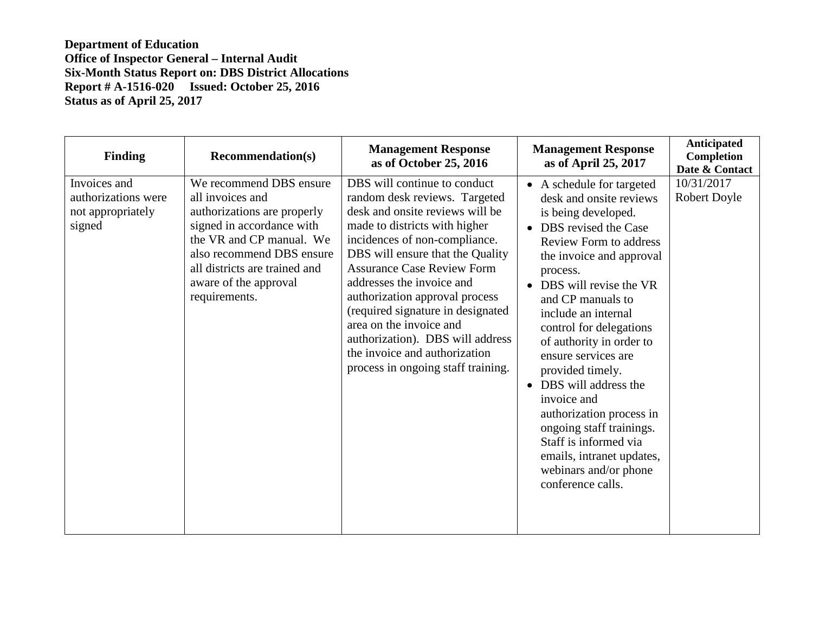| <b>Finding</b>                                                     | <b>Recommendation(s)</b>                                                                                                                                                                                                                    | <b>Management Response</b><br>as of October 25, 2016                                                                                                                                                                                                                                                                                                                                                                                                                                  | <b>Management Response</b><br>as of April 25, 2017                                                                                                                                                                                                                                                                                                                                                                                                                                                                                                            | Anticipated<br>Completion<br>Date & Contact |
|--------------------------------------------------------------------|---------------------------------------------------------------------------------------------------------------------------------------------------------------------------------------------------------------------------------------------|---------------------------------------------------------------------------------------------------------------------------------------------------------------------------------------------------------------------------------------------------------------------------------------------------------------------------------------------------------------------------------------------------------------------------------------------------------------------------------------|---------------------------------------------------------------------------------------------------------------------------------------------------------------------------------------------------------------------------------------------------------------------------------------------------------------------------------------------------------------------------------------------------------------------------------------------------------------------------------------------------------------------------------------------------------------|---------------------------------------------|
| Invoices and<br>authorizations were<br>not appropriately<br>signed | We recommend DBS ensure<br>all invoices and<br>authorizations are properly<br>signed in accordance with<br>the VR and CP manual. We<br>also recommend DBS ensure<br>all districts are trained and<br>aware of the approval<br>requirements. | DBS will continue to conduct<br>random desk reviews. Targeted<br>desk and onsite reviews will be<br>made to districts with higher<br>incidences of non-compliance.<br>DBS will ensure that the Quality<br><b>Assurance Case Review Form</b><br>addresses the invoice and<br>authorization approval process<br>(required signature in designated<br>area on the invoice and<br>authorization). DBS will address<br>the invoice and authorization<br>process in ongoing staff training. | • A schedule for targeted<br>desk and onsite reviews<br>is being developed.<br>• DBS revised the Case<br><b>Review Form to address</b><br>the invoice and approval<br>process.<br>• DBS will revise the VR<br>and CP manuals to<br>include an internal<br>control for delegations<br>of authority in order to<br>ensure services are<br>provided timely.<br>• DBS will address the<br>invoice and<br>authorization process in<br>ongoing staff trainings.<br>Staff is informed via<br>emails, intranet updates,<br>webinars and/or phone<br>conference calls. | 10/31/2017<br><b>Robert Doyle</b>           |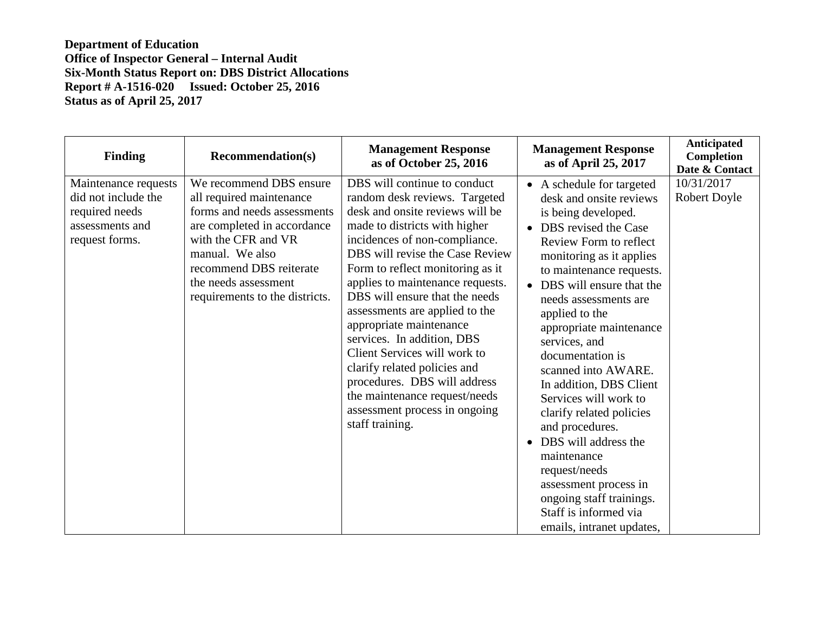| Finding                                                                                            | <b>Recommendation(s)</b>                                                                                                                                                                                                                         | <b>Management Response</b><br>as of October 25, 2016                                                                                                                                                                                                                                                                                                                                                                                                                                                                                                                                            | <b>Management Response</b><br>as of April 25, 2017                                                                                                                                                                                                                                                                                                                                                                                                                                                                                                                                                                            | Anticipated<br>Completion<br>Date & Contact |
|----------------------------------------------------------------------------------------------------|--------------------------------------------------------------------------------------------------------------------------------------------------------------------------------------------------------------------------------------------------|-------------------------------------------------------------------------------------------------------------------------------------------------------------------------------------------------------------------------------------------------------------------------------------------------------------------------------------------------------------------------------------------------------------------------------------------------------------------------------------------------------------------------------------------------------------------------------------------------|-------------------------------------------------------------------------------------------------------------------------------------------------------------------------------------------------------------------------------------------------------------------------------------------------------------------------------------------------------------------------------------------------------------------------------------------------------------------------------------------------------------------------------------------------------------------------------------------------------------------------------|---------------------------------------------|
| Maintenance requests<br>did not include the<br>required needs<br>assessments and<br>request forms. | We recommend DBS ensure<br>all required maintenance<br>forms and needs assessments<br>are completed in accordance<br>with the CFR and VR<br>manual. We also<br>recommend DBS reiterate<br>the needs assessment<br>requirements to the districts. | DBS will continue to conduct<br>random desk reviews. Targeted<br>desk and onsite reviews will be<br>made to districts with higher<br>incidences of non-compliance.<br>DBS will revise the Case Review<br>Form to reflect monitoring as it<br>applies to maintenance requests.<br>DBS will ensure that the needs<br>assessments are applied to the<br>appropriate maintenance<br>services. In addition, DBS<br>Client Services will work to<br>clarify related policies and<br>procedures. DBS will address<br>the maintenance request/needs<br>assessment process in ongoing<br>staff training. | • A schedule for targeted<br>desk and onsite reviews<br>is being developed.<br>• DBS revised the Case<br>Review Form to reflect<br>monitoring as it applies<br>to maintenance requests.<br>• DBS will ensure that the<br>needs assessments are<br>applied to the<br>appropriate maintenance<br>services, and<br>documentation is<br>scanned into AWARE.<br>In addition, DBS Client<br>Services will work to<br>clarify related policies<br>and procedures.<br>DBS will address the<br>maintenance<br>request/needs<br>assessment process in<br>ongoing staff trainings.<br>Staff is informed via<br>emails, intranet updates, | 10/31/2017<br>Robert Doyle                  |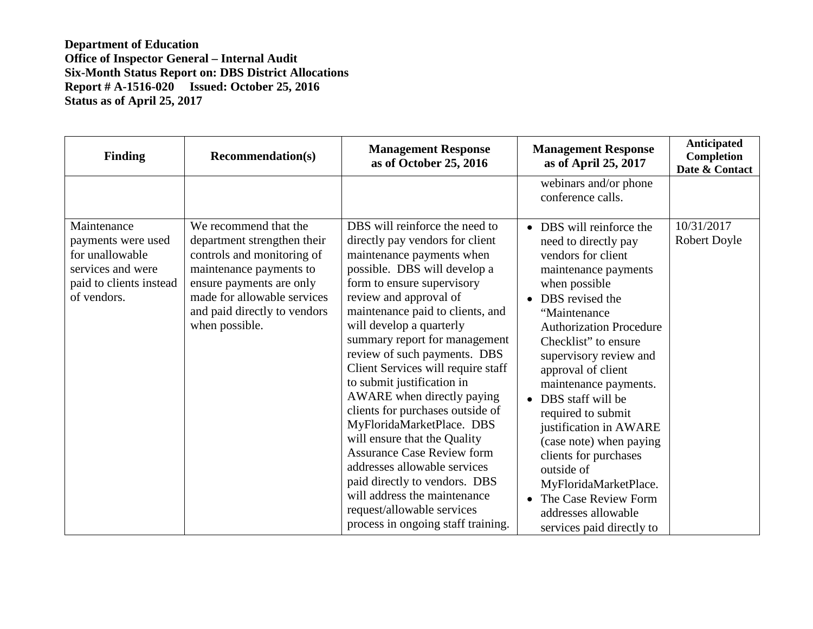| <b>Finding</b>                                                                                                      | <b>Recommendation(s)</b>                                                                                                                                                                                                   | <b>Management Response</b><br>as of October 25, 2016                                                                                                                                                                                                                                                                                                                                                                                                                                                                                                                                                                                                                                                                                 | <b>Management Response</b><br>as of April 25, 2017                                                                                                                                                                                                                                                                                                                                                                                                                                                                                    | Anticipated<br>Completion<br>Date & Contact |
|---------------------------------------------------------------------------------------------------------------------|----------------------------------------------------------------------------------------------------------------------------------------------------------------------------------------------------------------------------|--------------------------------------------------------------------------------------------------------------------------------------------------------------------------------------------------------------------------------------------------------------------------------------------------------------------------------------------------------------------------------------------------------------------------------------------------------------------------------------------------------------------------------------------------------------------------------------------------------------------------------------------------------------------------------------------------------------------------------------|---------------------------------------------------------------------------------------------------------------------------------------------------------------------------------------------------------------------------------------------------------------------------------------------------------------------------------------------------------------------------------------------------------------------------------------------------------------------------------------------------------------------------------------|---------------------------------------------|
|                                                                                                                     |                                                                                                                                                                                                                            |                                                                                                                                                                                                                                                                                                                                                                                                                                                                                                                                                                                                                                                                                                                                      | webinars and/or phone<br>conference calls.                                                                                                                                                                                                                                                                                                                                                                                                                                                                                            |                                             |
| Maintenance<br>payments were used<br>for unallowable<br>services and were<br>paid to clients instead<br>of vendors. | We recommend that the<br>department strengthen their<br>controls and monitoring of<br>maintenance payments to<br>ensure payments are only<br>made for allowable services<br>and paid directly to vendors<br>when possible. | DBS will reinforce the need to<br>directly pay vendors for client<br>maintenance payments when<br>possible. DBS will develop a<br>form to ensure supervisory<br>review and approval of<br>maintenance paid to clients, and<br>will develop a quarterly<br>summary report for management<br>review of such payments. DBS<br>Client Services will require staff<br>to submit justification in<br>AWARE when directly paying<br>clients for purchases outside of<br>MyFloridaMarketPlace. DBS<br>will ensure that the Quality<br><b>Assurance Case Review form</b><br>addresses allowable services<br>paid directly to vendors. DBS<br>will address the maintenance<br>request/allowable services<br>process in ongoing staff training. | • DBS will reinforce the<br>need to directly pay<br>vendors for client<br>maintenance payments<br>when possible<br>• DBS revised the<br>"Maintenance<br><b>Authorization Procedure</b><br>Checklist" to ensure<br>supervisory review and<br>approval of client<br>maintenance payments.<br>DBS staff will be<br>required to submit<br>justification in AWARE<br>(case note) when paying<br>clients for purchases<br>outside of<br>MyFloridaMarketPlace.<br>• The Case Review Form<br>addresses allowable<br>services paid directly to | 10/31/2017<br><b>Robert Doyle</b>           |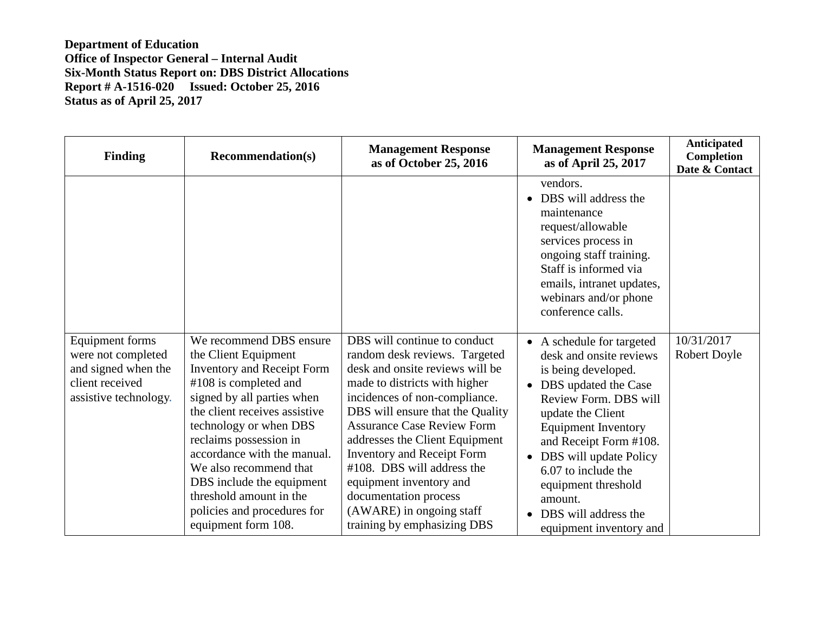| <b>Finding</b>                                                                                           | <b>Recommendation(s)</b>                                                                                                                                                                                                                                                                                                                                                                                | <b>Management Response</b><br>as of October 25, 2016                                                                                                                                                                                                                                                                                                                                                                                                            | <b>Management Response</b><br>as of April 25, 2017                                                                                                                                                                                                                                                                                                    | Anticipated<br>Completion<br>Date & Contact |
|----------------------------------------------------------------------------------------------------------|---------------------------------------------------------------------------------------------------------------------------------------------------------------------------------------------------------------------------------------------------------------------------------------------------------------------------------------------------------------------------------------------------------|-----------------------------------------------------------------------------------------------------------------------------------------------------------------------------------------------------------------------------------------------------------------------------------------------------------------------------------------------------------------------------------------------------------------------------------------------------------------|-------------------------------------------------------------------------------------------------------------------------------------------------------------------------------------------------------------------------------------------------------------------------------------------------------------------------------------------------------|---------------------------------------------|
|                                                                                                          |                                                                                                                                                                                                                                                                                                                                                                                                         |                                                                                                                                                                                                                                                                                                                                                                                                                                                                 | vendors.<br>• DBS will address the<br>maintenance<br>request/allowable<br>services process in<br>ongoing staff training.<br>Staff is informed via<br>emails, intranet updates,<br>webinars and/or phone<br>conference calls.                                                                                                                          |                                             |
| Equipment forms<br>were not completed<br>and signed when the<br>client received<br>assistive technology. | We recommend DBS ensure<br>the Client Equipment<br><b>Inventory and Receipt Form</b><br>#108 is completed and<br>signed by all parties when<br>the client receives assistive<br>technology or when DBS<br>reclaims possession in<br>accordance with the manual.<br>We also recommend that<br>DBS include the equipment<br>threshold amount in the<br>policies and procedures for<br>equipment form 108. | DBS will continue to conduct<br>random desk reviews. Targeted<br>desk and onsite reviews will be<br>made to districts with higher<br>incidences of non-compliance.<br>DBS will ensure that the Quality<br><b>Assurance Case Review Form</b><br>addresses the Client Equipment<br><b>Inventory and Receipt Form</b><br>#108. DBS will address the<br>equipment inventory and<br>documentation process<br>(AWARE) in ongoing staff<br>training by emphasizing DBS | • A schedule for targeted<br>desk and onsite reviews<br>is being developed.<br>• DBS updated the Case<br>Review Form. DBS will<br>update the Client<br><b>Equipment Inventory</b><br>and Receipt Form #108.<br>• DBS will update Policy<br>6.07 to include the<br>equipment threshold<br>amount.<br>• DBS will address the<br>equipment inventory and | 10/31/2017<br>Robert Doyle                  |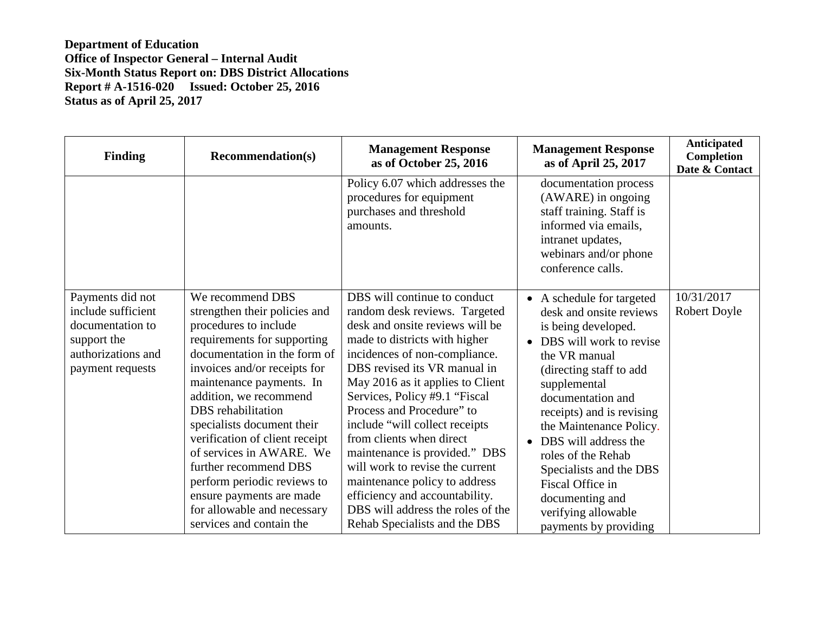| <b>Finding</b>                                                                                                      | <b>Recommendation(s)</b>                                                                                                                                                                                                                                                                                                                                                                                                                                                                         | <b>Management Response</b><br>as of October 25, 2016                                                                                                                                                                                                                                                                                                                                                                                                                                                                                                                            | <b>Management Response</b><br>as of April 25, 2017                                                                                                                                                                                                                                                                                                                                                                | Anticipated<br>Completion<br>Date & Contact |
|---------------------------------------------------------------------------------------------------------------------|--------------------------------------------------------------------------------------------------------------------------------------------------------------------------------------------------------------------------------------------------------------------------------------------------------------------------------------------------------------------------------------------------------------------------------------------------------------------------------------------------|---------------------------------------------------------------------------------------------------------------------------------------------------------------------------------------------------------------------------------------------------------------------------------------------------------------------------------------------------------------------------------------------------------------------------------------------------------------------------------------------------------------------------------------------------------------------------------|-------------------------------------------------------------------------------------------------------------------------------------------------------------------------------------------------------------------------------------------------------------------------------------------------------------------------------------------------------------------------------------------------------------------|---------------------------------------------|
|                                                                                                                     |                                                                                                                                                                                                                                                                                                                                                                                                                                                                                                  | Policy 6.07 which addresses the<br>procedures for equipment<br>purchases and threshold<br>amounts.                                                                                                                                                                                                                                                                                                                                                                                                                                                                              | documentation process<br>(AWARE) in ongoing<br>staff training. Staff is<br>informed via emails,<br>intranet updates,<br>webinars and/or phone<br>conference calls.                                                                                                                                                                                                                                                |                                             |
| Payments did not<br>include sufficient<br>documentation to<br>support the<br>authorizations and<br>payment requests | We recommend DBS<br>strengthen their policies and<br>procedures to include<br>requirements for supporting<br>documentation in the form of<br>invoices and/or receipts for<br>maintenance payments. In<br>addition, we recommend<br>DBS rehabilitation<br>specialists document their<br>verification of client receipt<br>of services in AWARE. We<br>further recommend DBS<br>perform periodic reviews to<br>ensure payments are made<br>for allowable and necessary<br>services and contain the | DBS will continue to conduct<br>random desk reviews. Targeted<br>desk and onsite reviews will be<br>made to districts with higher<br>incidences of non-compliance.<br>DBS revised its VR manual in<br>May 2016 as it applies to Client<br>Services, Policy #9.1 "Fiscal<br>Process and Procedure" to<br>include "will collect receipts<br>from clients when direct<br>maintenance is provided." DBS<br>will work to revise the current<br>maintenance policy to address<br>efficiency and accountability.<br>DBS will address the roles of the<br>Rehab Specialists and the DBS | • A schedule for targeted<br>desk and onsite reviews<br>is being developed.<br>• DBS will work to revise<br>the VR manual<br>(directing staff to add<br>supplemental<br>documentation and<br>receipts) and is revising<br>the Maintenance Policy.<br>DBS will address the<br>roles of the Rehab<br>Specialists and the DBS<br>Fiscal Office in<br>documenting and<br>verifying allowable<br>payments by providing | 10/31/2017<br>Robert Doyle                  |